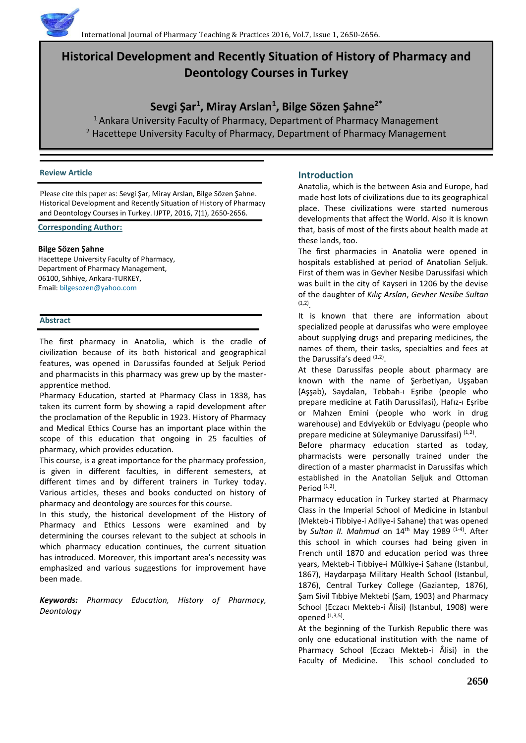# **Historical Development and Recently Situation of History of Pharmacy and Deontology Courses in Turkey**

## **Sevgi Şar<sup>1</sup> , Miray Arslan<sup>1</sup> , Bilge Sözen Şahne2\***

<sup>1</sup> Ankara University Faculty of Pharmacy, Department of Pharmacy Management <sup>2</sup> Hacettepe University Faculty of Pharmacy, Department of Pharmacy Management

#### **Review Article**

Please cite this paper as: Sevgi Şar, Miray Arslan, Bilge Sözen Şahne. Historical Development and Recently Situation of History of Pharmacy and Deontology Courses in Turkey. IJPTP, 2016, 7(1), 2650-2656.

## **Corresponding Author:**

## **Bilge Sözen Şahne**

Hacettepe University Faculty of Pharmacy, Department of Pharmacy Management, 06100, Sıhhiye, Ankara-TURKEY, Email[: bilgesozen@yahoo.com](mailto:bilgesozen@yahoo.com)

## **Abstract**

The first pharmacy in Anatolia, which is the cradle of civilization because of its both historical and geographical features, was opened in Darussifas founded at Seljuk Period and pharmacists in this pharmacy was grew up by the masterapprentice method.

Pharmacy Education, started at Pharmacy Class in 1838, has taken its current form by showing a rapid development after the proclamation of the Republic in 1923. History of Pharmacy and Medical Ethics Course has an important place within the scope of this education that ongoing in 25 faculties of pharmacy, which provides education.

This course, is a great importance for the pharmacy profession, is given in different faculties, in different semesters, at different times and by different trainers in Turkey today. Various articles, theses and books conducted on history of pharmacy and deontology are sources for this course.

In this study, the historical development of the History of Pharmacy and Ethics Lessons were examined and by determining the courses relevant to the subject at schools in which pharmacy education continues, the current situation has introduced. Moreover, this important area's necessity was emphasized and various suggestions for improvement have been made.

*Keywords: Pharmacy Education, History of Pharmacy, Deontology*

## **Introduction**

Anatolia, which is the between Asia and Europe, had made host lots of civilizations due to its geographical place. These civilizations were started numerous developments that affect the World. Also it is known that, basis of most of the firsts about health made at these lands, too.

The first pharmacies in Anatolia were opened in hospitals established at period of Anatolian Seljuk. First of them was in Gevher Nesibe Darussifasi which was built in the city of Kayseri in 1206 by the devise of the daughter of *Kılıç Arslan*, *Gevher Nesibe Sultan*  (1,2) .

It is known that there are information about specialized people at darussifas who were employee about supplying drugs and preparing medicines, the names of them, their tasks, specialties and fees at the Darussifa's deed <sup>(1,2)</sup>.

At these Darussifas people about pharmacy are known with the name of Şerbetiyan, Uşşaban (Aşşab), Saydalan, Tebbah-ı Eşribe (people who prepare medicine at Fatih Darussifasi), Hafız-ı Eşribe or Mahzen Emini (people who work in drug warehouse) and Edviyeküb or Edviyagu (people who prepare medicine at Süleymaniye Darussifasi)<sup>(1,2)</sup>.

Before pharmacy education started as today, pharmacists were personally trained under the direction of a master pharmacist in Darussifas which established in the Anatolian Seljuk and Ottoman Period (1,2).

Pharmacy education in Turkey started at Pharmacy Class in the Imperial School of Medicine in Istanbul (Mekteb-i Tibbiye-i Adliye-i Sahane) that was opened by *Sultan II. Mahmud* on 14<sup>th</sup> May 1989<sup>(1-4)</sup>. After this school in which courses had being given in French until 1870 and education period was three years, Mekteb-i Tıbbiye-i Mülkiye-i Şahane (Istanbul, 1867), Haydarpaşa Military Health School (Istanbul, 1876), Central Turkey College (Gaziantep, 1876), Şam Sivil Tıbbiye Mektebi (Şam, 1903) and Pharmacy School (Eczacı Mekteb-i Âlisi) (Istanbul, 1908) were opened  $(1,3,5)$ .

At the beginning of the Turkish Republic there was only one educational institution with the name of Pharmacy School (Eczacı Mekteb-i Âlisi) in the Faculty of Medicine. This school concluded to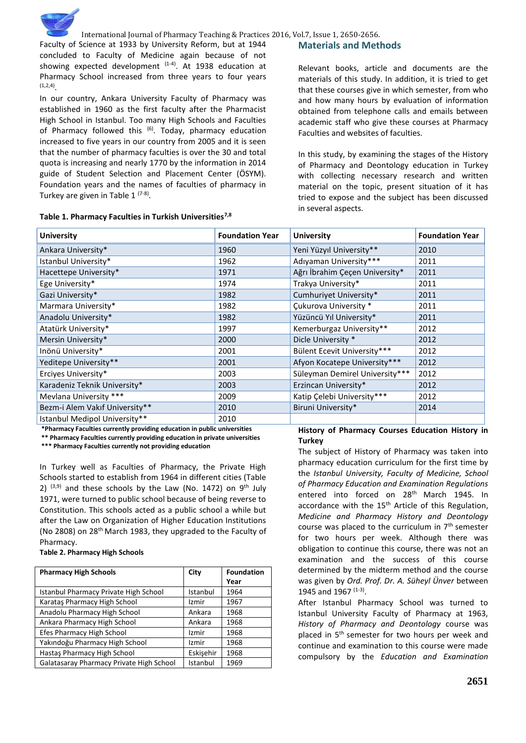

Faculty of Science at 1933 by University Reform, but at 1944 concluded to Faculty of Medicine again because of not showing expected development  $(1-4)$ . At 1938 education at Pharmacy School increased from three years to four years (1,2,4) .

In our country, Ankara University Faculty of Pharmacy was established in 1960 as the first faculty after the Pharmacist High School in Istanbul. Too many High Schools and Faculties of Pharmacy followed this  $(6)$ . Today, pharmacy education increased to five years in our country from 2005 and it is seen that the number of pharmacy faculties is over the 30 and total quota is increasing and nearly 1770 by the information in 2014 guide of Student Selection and Placement Center (ÖSYM). Foundation years and the names of faculties of pharmacy in Turkey are given in Table 1<sup>(7-8)</sup>.

#### **Table 1. Pharmacy Faculties in Turkish Universities7,8**

## **Materials and Methods**

Relevant books, article and documents are the materials of this study. In addition, it is tried to get that these courses give in which semester, from who and how many hours by evaluation of information obtained from telephone calls and emails between academic staff who give these courses at Pharmacy Faculties and websites of faculties.

In this study, by examining the stages of the History of Pharmacy and Deontology education in Turkey with collecting necessary research and written material on the topic, present situation of it has tried to expose and the subject has been discussed in several aspects.

| <b>University</b>              | <b>Foundation Year</b> | <b>University</b>              | <b>Foundation Year</b> |
|--------------------------------|------------------------|--------------------------------|------------------------|
| Ankara University*             | 1960                   | Yeni Yüzyıl University**       | 2010                   |
| Istanbul University*           | 1962                   | Adıyaman University***         | 2011                   |
| Hacettepe University*          | 1971                   | Ağrı İbrahim Çeçen University* | 2011                   |
| Ege University*                | 1974                   | Trakya University*             | 2011                   |
| Gazi University*               | 1982                   | Cumhuriyet University*         | 2011                   |
| Marmara University*            | 1982                   | <b>Çukurova University *</b>   | 2011                   |
| Anadolu University*            | 1982                   | Yüzüncü Yıl University*        | 2011                   |
| Atatürk University*            | 1997                   | Kemerburgaz University**       | 2012                   |
| Mersin University*             | 2000                   | Dicle University *             | 2012                   |
| Inönü University*              | 2001                   | Bülent Ecevit University***    | 2012                   |
| Yeditepe University**          | 2001                   | Afyon Kocatepe University***   | 2012                   |
| Erciyes University*            | 2003                   | Süleyman Demirel University*** | 2012                   |
| Karadeniz Teknik University*   | 2003                   | Erzincan University*           | 2012                   |
| Mevlana University ***         | 2009                   | Katip Çelebi University***     | 2012                   |
| Bezm-i Alem Vakıf University** | 2010                   | Biruni University*             | 2014                   |
| Istanbul Medipol University**  | 2010                   |                                |                        |

**\*Pharmacy Faculties currently providing education in public universities** 

**\*\* Pharmacy Faculties currently providing education in private universities**

**\*\*\* Pharmacy Faculties currently not providing education**

In Turkey well as Faculties of Pharmacy, the Private High Schools started to establish from 1964 in different cities (Table 2)  $(3,9)$  and these schools by the Law (No. 1472) on  $9<sup>th</sup>$  July 1971, were turned to public school because of being reverse to Constitution. This schools acted as a public school a while but after the Law on Organization of Higher Education Institutions (No 2808) on 28<sup>th</sup> March 1983, they upgraded to the Faculty of Pharmacy.

**Table 2. Pharmacy High Schools**

| <b>Pharmacy High Schools</b>             | City      | <b>Foundation</b> |
|------------------------------------------|-----------|-------------------|
|                                          |           | Year              |
| Istanbul Pharmacy Private High School    | Istanbul  | 1964              |
| Karataş Pharmacy High School             | Izmir     | 1967              |
| Anadolu Pharmacy High School             | Ankara    | 1968              |
| Ankara Pharmacy High School              | Ankara    | 1968              |
| Efes Pharmacy High School                | Izmir     | 1968              |
| Yakındoğu Pharmacy High School           | Izmir     | 1968              |
| Hastas Pharmacy High School              | Eskisehir | 1968              |
| Galatasaray Pharmacy Private High School | Istanbul  | 1969              |

#### **History of Pharmacy Courses Education History in Turkey**

The subject of History of Pharmacy was taken into pharmacy education curriculum for the first time by the *Istanbul University, Faculty of Medicine, School of Pharmacy Education and Examination Regulations* entered into forced on 28<sup>th</sup> March 1945. In accordance with the 15<sup>th</sup> Article of this Regulation, *Medicine and Pharmacy History and Deontology* course was placed to the curriculum in  $7<sup>th</sup>$  semester for two hours per week. Although there was obligation to continue this course, there was not an examination and the success of this course determined by the midterm method and the course was given by *Ord. Prof. Dr. A. Süheyl Ünver* between 1945 and 1967  $(1-3)$ .

After Istanbul Pharmacy School was turned to Istanbul University Faculty of Pharmacy at 1963, *History of Pharmacy and Deontology* course was placed in 5<sup>th</sup> semester for two hours per week and continue and examination to this course were made compulsory by the *Education and Examination*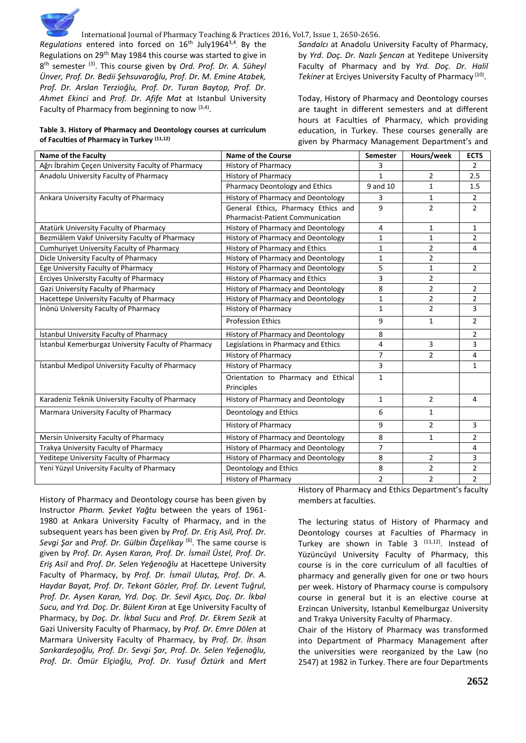

Regulations entered into forced on 16<sup>th</sup> July1964<sup>3,4</sup>. By the Regulations on 29<sup>th</sup> May 1984 this course was started to give in 8 th semester (3). This course given by *Ord. Prof. Dr. A. Süheyl Ünver, Prof. Dr. Bedii Şehsuvaroğlu, Prof. Dr. M. Emine Atabek, Prof. Dr. Arslan Terzioğlu, Prof. Dr. Turan Baytop, Prof. Dr. Ahmet Ekinci* and *Prof. Dr. Afife Mat* at Istanbul University Faculty of Pharmacy from beginning to now  $(3,4)$ .

#### **Table 3. History of Pharmacy and Deontology courses at curriculum of Faculties of Pharmacy in Turkey (11,12)**

*Sandalcı* at Anadolu University Faculty of Pharmacy, by *Yrd. Doç. Dr. Nazlı Şencan* at Yeditepe University Faculty of Pharmacy and by *Yrd. Doç. Dr. Halil*  Tekiner at Erciyes University Faculty of Pharmacy<sup>(10)</sup>.

Today, History of Pharmacy and Deontology courses are taught in different semesters and at different hours at Faculties of Pharmacy, which providing education, in Turkey. These courses generally are given by Pharmacy Management Department's and

| <b>Name of the Faculty</b>                          | <b>Name of the Course</b>               | Semester       | Hours/week     | <b>ECTS</b>    |
|-----------------------------------------------------|-----------------------------------------|----------------|----------------|----------------|
| Ağrı İbrahim Çeçen University Faculty of Pharmacy   | <b>History of Pharmacy</b>              | 3              |                | $\overline{2}$ |
| Anadolu University Faculty of Pharmacy              | History of Pharmacy                     | $\mathbf{1}$   | $\overline{2}$ | 2.5            |
|                                                     | Pharmacy Deontology and Ethics          | 9 and 10       | $\mathbf{1}$   | 1.5            |
| Ankara University Faculty of Pharmacy               | History of Pharmacy and Deontology      | 3              | $\mathbf{1}$   | $\overline{2}$ |
|                                                     | General Ethics, Pharmacy Ethics and     | 9              | $\overline{2}$ | $\overline{2}$ |
|                                                     | <b>Pharmacist-Patient Communication</b> |                |                |                |
| Atatürk University Faculty of Pharmacy              | History of Pharmacy and Deontology      | 4              | $\mathbf{1}$   | 1              |
| Bezmiâlem Vakıf University Faculty of Pharmacy      | History of Pharmacy and Deontology      | 1              | $\mathbf{1}$   | $\overline{2}$ |
| Cumhuriyet University Faculty of Pharmacy           | History of Pharmacy and Ethics          | $\mathbf{1}$   | $\overline{2}$ | 4              |
| Dicle University Faculty of Pharmacy                | History of Pharmacy and Deontology      | 1              | $\overline{2}$ |                |
| Ege University Faculty of Pharmacy                  | History of Pharmacy and Deontology      | 5              | $\mathbf{1}$   | $\overline{2}$ |
| Erciyes University Faculty of Pharmacy              | History of Pharmacy and Ethics          | 3              | $\overline{2}$ |                |
| Gazi University Faculty of Pharmacy                 | History of Pharmacy and Deontology      | 8              | $\overline{2}$ | $\overline{2}$ |
| Hacettepe University Faculty of Pharmacy            | History of Pharmacy and Deontology      | 1              | $\overline{2}$ | 2              |
| İnönü University Faculty of Pharmacy                | <b>History of Pharmacy</b>              | $\mathbf{1}$   | $\overline{2}$ | 3              |
|                                                     | <b>Profession Ethics</b>                | 9              | $\mathbf{1}$   | $\overline{2}$ |
| İstanbul University Faculty of Pharmacy             | History of Pharmacy and Deontology      | 8              |                | $\overline{2}$ |
| İstanbul Kemerburgaz University Faculty of Pharmacy | Legislations in Pharmacy and Ethics     | 4              | 3              | 3              |
|                                                     | <b>History of Pharmacy</b>              | $\overline{7}$ | $\overline{2}$ | 4              |
| İstanbul Medipol University Faculty of Pharmacy     | History of Pharmacy                     | $\overline{3}$ |                | $\mathbf{1}$   |
|                                                     | Orientation to Pharmacy and Ethical     | $\mathbf{1}$   |                |                |
|                                                     | Principles                              |                |                |                |
| Karadeniz Teknik University Faculty of Pharmacy     | History of Pharmacy and Deontology      | $\mathbf{1}$   | $\overline{2}$ | 4              |
| Marmara University Faculty of Pharmacy              | Deontology and Ethics                   | 6              | $\mathbf{1}$   |                |
|                                                     | <b>History of Pharmacy</b>              | 9              | $\overline{2}$ | 3              |
| Mersin University Faculty of Pharmacy               | History of Pharmacy and Deontology      | 8              | $\mathbf{1}$   | $\overline{2}$ |
| Trakya University Faculty of Pharmacy               | History of Pharmacy and Deontology      | $\overline{7}$ |                | 4              |
| Yeditepe University Faculty of Pharmacy             | History of Pharmacy and Deontology      | 8              | $\overline{2}$ | 3              |
| Yeni Yüzyıl University Faculty of Pharmacy          | Deontology and Ethics                   | 8              | $\overline{2}$ | $\overline{2}$ |
|                                                     | History of Pharmacy                     | $\overline{2}$ | $\overline{2}$ | $\overline{2}$ |

History of Pharmacy and Deontology course has been given by Instructor *Pharm. Şevket Yağtu* between the years of 1961- 1980 at Ankara University Faculty of Pharmacy, and in the subsequent years has been given by *Prof. Dr. Eriş Asil, Prof. Dr. Sevgi Şar* and *Prof. Dr. Gülbin Özçelikay* (6). The same course is given by *Prof. Dr. Aysen Karan, Prof. Dr. İsmail Üstel, Prof. Dr. Eriş Asil* and *Prof. Dr. Selen Yeğenoğlu* at Hacettepe University Faculty of Pharmacy, by *Prof. Dr. İsmail Ulutaş, Prof. Dr. A. Haydar Bayat, Prof. Dr. Tekant Gözler, Prof. Dr. Levent Tuğrul, Prof. Dr. Aysen Karan, Yrd. Doç. Dr. Sevil Aşıcı, Doç. Dr. İkbal Sucu, and Yrd. Doç. Dr. Bülent Kıran* at Ege University Faculty of Pharmacy, by *Doç. Dr. İkbal Sucu* and *Prof. Dr. Ekrem Sezik* at Gazi University Faculty of Pharmacy, by *Prof. Dr. Emre Dölen* at Marmara University Faculty of Pharmacy, by *Prof. Dr. İhsan Sarıkardeşoğlu, Prof. Dr. Sevgi Şar, Prof. Dr. Selen Yeğenoğlu, Prof. Dr. Ömür Elçioğlu, Prof. Dr. Yusuf Öztürk* and *Mert* 

History of Pharmacy and Ethics Department's faculty members at faculties.

The lecturing status of History of Pharmacy and Deontology courses at Faculties of Pharmacy in Turkey are shown in Table 3  $(11,12)$ . Instead of Yüzüncüyıl University Faculty of Pharmacy, this course is in the core curriculum of all faculties of pharmacy and generally given for one or two hours per week. History of Pharmacy course is compulsory course in general but it is an elective course at Erzincan University, Istanbul Kemelburgaz University and Trakya University Faculty of Pharmacy.

Chair of the History of Pharmacy was transformed into Department of Pharmacy Management after the universities were reorganized by the Law (no 2547) at 1982 in Turkey. There are four Departments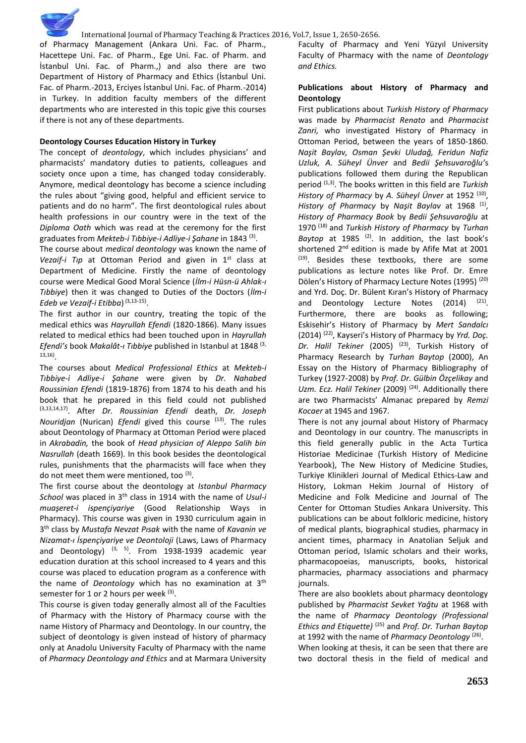of Pharmacy Management (Ankara Uni. Fac. of Pharm., Hacettepe Uni. Fac. of Pharm., Ege Uni. Fac. of Pharm. and İstanbul Uni. Fac. of Pharm.,) and also there are two Department of History of Pharmacy and Ethics (İstanbul Uni. Fac. of Pharm.-2013, Erciyes İstanbul Uni. Fac. of Pharm.-2014) in Turkey. In addition faculty members of the different departments who are interested in this topic give this courses if there is not any of these departments.

## **Deontology Courses Education History in Turkey**

The concept of *deontology*, which includes physicians' and pharmacists' mandatory duties to patients, colleagues and society once upon a time, has changed today considerably. Anymore, medical deontology has become a science including the rules about "giving good, helpful and efficient service to patients and do no harm". The first deontological rules about health professions in our country were in the text of the *Diploma Oath* which was read at the ceremony for the first graduates from *Mekteb-i Tıbbiye-i Adliye-i Şahane* in 1843 (3) .

The course about *medical deontology* was known the name of *Vezaif-i Tıp* at Ottoman Period and given in 1st class at Department of Medicine. Firstly the name of deontology course were Medical Good Moral Science (*İlm-i Hüsn-ü Ahlak-ı Tıbbiye*) then it was changed to Duties of the Doctors (*İlm-i Edeb ve Vezaif-i Etibba*) (3,13-15) .

The first author in our country, treating the topic of the medical ethics was *Hayrullah Efendi* (1820-1866). Many issues related to medical ethics had been touched upon in *Hayrullah Efendi's* book *Makalât-ı Tıbbiye* published in Istanbul at 1848 (3, 13,16) .

The courses about *Medical Professional Ethics* at *Mekteb-i Tıbbiye-i Adliye-i Şahane* were given by *Dr. Nahabed Roussinian Efendi* (1819-1876) from 1874 to his death and his book that he prepared in this field could not published (3,13,14,17). After *Dr. Roussinian Efendi* death, *Dr. Joseph Nouridjan* (Nurican) *Efendi* gived this course <sup>(13)</sup>. The rules about Deontology of Pharmacy at Ottoman Period were placed in *Akrabadin,* the book of *Head physician of Aleppo Salih bin Nasrullah* (death 1669). In this book besides the deontological rules, punishments that the pharmacists will face when they do not meet them were mentioned, too <sup>(3)</sup>.

The first course about the deontology at *Istanbul Pharmacy School* was placed in 3th class in 1914 with the name of *Usul-i muaşeret-i ispençiyariye* (Good Relationship Ways in Pharmacy). This course was given in 1930 curriculum again in 3 th class by *Mustafa Nevzat Pısak* with the name of *Kavanin ve Nizamat-ı İspençiyariye ve Deontoloji* (Laws, Laws of Pharmacy and Deontology)  $(3, 5)$ . From 1938-1939 academic year education duration at this school increased to 4 years and this course was placed to education program as a conference with the name of *Deontology* which has no examination at 3th semester for 1 or 2 hours per week (3).

This course is given today generally almost all of the Faculties of Pharmacy with the History of Pharmacy course with the name History of Pharmacy and Deontology. In our country, the subject of deontology is given instead of history of pharmacy only at Anadolu University Faculty of Pharmacy with the name of *Pharmacy Deontology and Ethics* and at Marmara University

Faculty of Pharmacy and Yeni Yüzyıl University Faculty of Pharmacy with the name of *Deontology and Ethics.*

## **Publications about History of Pharmacy and Deontology**

First publications about *Turkish History of Pharmacy* was made by *Pharmacist Renato* and *Pharmacist Zanri,* who investigated History of Pharmacy in Ottoman Period, between the years of 1850-1860. *Naşit Baylav, Osman Şevki Uludağ, Feridun Nafiz Uzluk, A. Süheyl Ünver* and *Bedii Şehsuvaroğlu'*s publications followed them during the Republican period (1,3). The books written in this field are *Turkish History of Pharmacy* by *A. Süheyl Ünver* at 1952 (10) , History of Pharmacy by Naşit Baylav at 1968<sup>(1)</sup>, *History of Pharmacy Book* by *Bedii Şehsuvaroğlu* at 1970 (18) and *Turkish History of Pharmacy* by *Turhan*  Baytop at 1985<sup>(2)</sup>. In addition, the last book's shortened 2<sup>nd</sup> edition is made by Afife Mat at 2001  $(19)$ . Besides these textbooks, there are some publications as lecture notes like Prof. Dr. Emre Dölen's History of Pharmacy Lecture Notes (1995)<sup>(20)</sup> and Yrd. Doç. Dr. Bülent Kıran's History of Pharmacy and Deontology Lecture Notes  $(2014)$   $(21)$ . Furthermore, there are books as following; Eskisehir's History of Pharmacy by *Mert Sandalcı* (2014) (22), Kayseri's History of Pharmacy by *Yrd. Doç.*  Dr. Halil Tekiner (2005) <sup>(23)</sup>, Turkish History of Pharmacy Research by *Turhan Baytop* (2000), An Essay on the History of Pharmacy Bibliography of Turkey (1927-2008) by *Prof. Dr. Gülbin Özçelikay* and *Uzm. Ecz. Halil Tekiner* (2009)<sup>(24)</sup>. Additionally there are two Pharmacists' Almanac prepared by *Remzi Kocaer* at 1945 and 1967.

There is not any journal about History of Pharmacy and Deontology in our country. The manuscripts in this field generally public in the Acta Turtica Historiae Medicinae (Turkish History of Medicine Yearbook), The New History of Medicine Studies, Turkiye Klinikleri Journal of Medical Ethics-Law and History, Lokman Hekim Journal of History of Medicine and Folk Medicine and Journal of The Center for Ottoman Studies Ankara University. This publications can be about folkloric medicine, history of medical plants, biographical studies, pharmacy in ancient times, pharmacy in Anatolian Seljuk and Ottoman period, Islamic scholars and their works, pharmacopoeias, manuscripts, books, historical pharmacies, pharmacy associations and pharmacy journals.

There are also booklets about pharmacy deontology published by *Pharmacist Sevket Yağtu* at 1968 with the name of *Pharmacy Deontology (Professional Ethics and Etiquette)* (25) and *Prof. Dr. Turhan Baytop* at 1992 with the name of *Pharmacy Deontology*<sup>(26)</sup>. When looking at thesis, it can be seen that there are two doctoral thesis in the field of medical and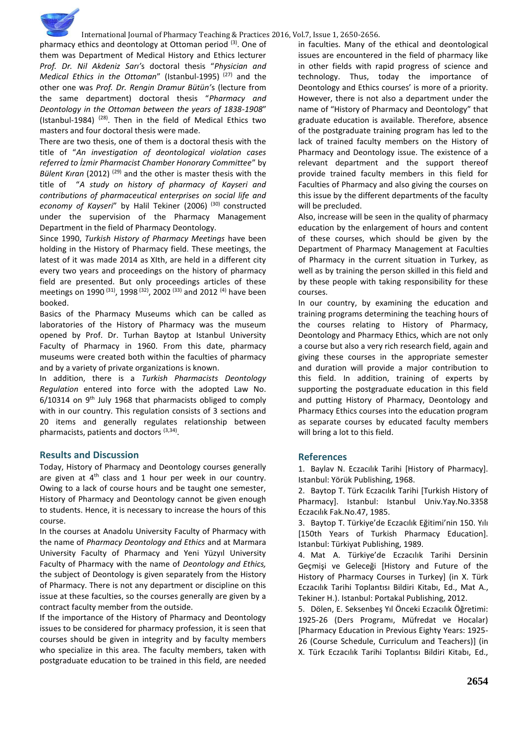pharmacy ethics and deontology at Ottoman period  $(3)$ . One of them was Department of Medical History and Ethics lecturer *Prof. Dr. Nil Akdeniz Sarı'*s doctoral thesis "*Physician and Medical Ethics in the Ottoman*" (Istanbul-1995)<sup>(27)</sup> and the other one was *Prof. Dr. Rengin Dramur Bütün'*s (lecture from the same department) doctoral thesis "*Pharmacy and Deontology in the Ottoman between the years of 1838-1908*" (Istanbul-1984)  $(28)$ . Then in the field of Medical Ethics two masters and four doctoral thesis were made.

There are two thesis, one of them is a doctoral thesis with the title of "*An investigation of deontological violation cases referred to İzmir Pharmacist Chamber Honorary Committee*" by *Bülent Kıran* (2012) (29) and the other is master thesis with the title of "*A study on history of pharmacy of Kayseri and contributions of pharmaceutical enterprises on social life and economy of Kayseri*" by Halil Tekiner (2006)<sup>(30)</sup> constructed under the supervision of the Pharmacy Management Department in the field of Pharmacy Deontology.

Since 1990, *Turkish History of Pharmacy Meetings* have been holding in the History of Pharmacy field. These meetings, the latest of it was made 2014 as XIth, are held in a different city every two years and proceedings on the history of pharmacy field are presented. But only proceedings articles of these meetings on 1990<sup>(31)</sup>, 1998<sup>(32)</sup>, 2002<sup>(33)</sup> and 2012<sup>(4)</sup> have been booked.

Basics of the Pharmacy Museums which can be called as laboratories of the History of Pharmacy was the museum opened by Prof. Dr. Turhan Baytop at Istanbul University Faculty of Pharmacy in 1960. From this date, pharmacy museums were created both within the faculties of pharmacy and by a variety of private organizations is known.

In addition, there is a *Turkish Pharmacists Deontology Regulation* entered into force with the adopted Law No. 6/10314 on 9th July 1968 that pharmacists obliged to comply with in our country. This regulation consists of 3 sections and 20 items and generally regulates relationship between pharmacists, patients and doctors <sup>(3,34)</sup>.

## **Results and Discussion**

Today, History of Pharmacy and Deontology courses generally are given at  $4<sup>th</sup>$  class and 1 hour per week in our country. Owing to a lack of course hours and be taught one semester, History of Pharmacy and Deontology cannot be given enough to students. Hence, it is necessary to increase the hours of this course.

In the courses at Anadolu University Faculty of Pharmacy with the name of *Pharmacy Deontology and Ethics* and at Marmara University Faculty of Pharmacy and Yeni Yüzyıl University Faculty of Pharmacy with the name of *Deontology and Ethics,*  the subject of Deontology is given separately from the History of Pharmacy. There is not any department or discipline on this issue at these faculties, so the courses generally are given by a contract faculty member from the outside.

If the importance of the History of Pharmacy and Deontology issues to be considered for pharmacy profession, it is seen that courses should be given in integrity and by faculty members who specialize in this area. The faculty members, taken with postgraduate education to be trained in this field, are needed in faculties. Many of the ethical and deontological issues are encountered in the field of pharmacy like in other fields with rapid progress of science and technology. Thus, today the importance of Deontology and Ethics courses' is more of a priority. However, there is not also a department under the name of "History of Pharmacy and Deontology" that graduate education is available. Therefore, absence of the postgraduate training program has led to the lack of trained faculty members on the History of Pharmacy and Deontology issue. The existence of a relevant department and the support thereof provide trained faculty members in this field for Faculties of Pharmacy and also giving the courses on this issue by the different departments of the faculty will be precluded.

Also, increase will be seen in the quality of pharmacy education by the enlargement of hours and content of these courses, which should be given by the Department of Pharmacy Management at Faculties of Pharmacy in the current situation in Turkey, as well as by training the person skilled in this field and by these people with taking responsibility for these courses.

In our country, by examining the education and training programs determining the teaching hours of the courses relating to History of Pharmacy, Deontology and Pharmacy Ethics, which are not only a course but also a very rich research field, again and giving these courses in the appropriate semester and duration will provide a major contribution to this field. In addition, training of experts by supporting the postgraduate education in this field and putting History of Pharmacy, Deontology and Pharmacy Ethics courses into the education program as separate courses by educated faculty members will bring a lot to this field.

## **References**

1. Baylav N. Eczacılık Tarihi [History of Pharmacy]. Istanbul: Yörük Publishing, 1968.

2. Baytop T. Türk Eczacılık Tarihi [Turkish History of Pharmacy]. Istanbul: Istanbul Univ.Yay.No.3358 Eczacılık Fak.No.47, 1985.

3. Baytop T. Türkiye'de Eczacılık Eğitimi'nin 150. Yılı [150th Years of Turkish Pharmacy Education]. Istanbul: Türkiyat Publishing, 1989.

4. Mat A. Türkiye'de Eczacılık Tarihi Dersinin Geçmişi ve Geleceği [History and Future of the History of Pharmacy Courses in Turkey] (in X. Türk Eczacılık Tarihi Toplantısı Bildiri Kitabı, Ed., Mat A., Tekiner H.). Istanbul: Portakal Publishing, 2012.

5. Dölen, E. Seksenbeş Yıl Önceki Eczacılık Öğretimi: 1925-26 (Ders Programı, Müfredat ve Hocalar) [Pharmacy Education in Previous Eighty Years: 1925- 26 (Course Schedule, Curriculum and Teachers)] (in X. Türk Eczacılık Tarihi Toplantısı Bildiri Kitabı, Ed.,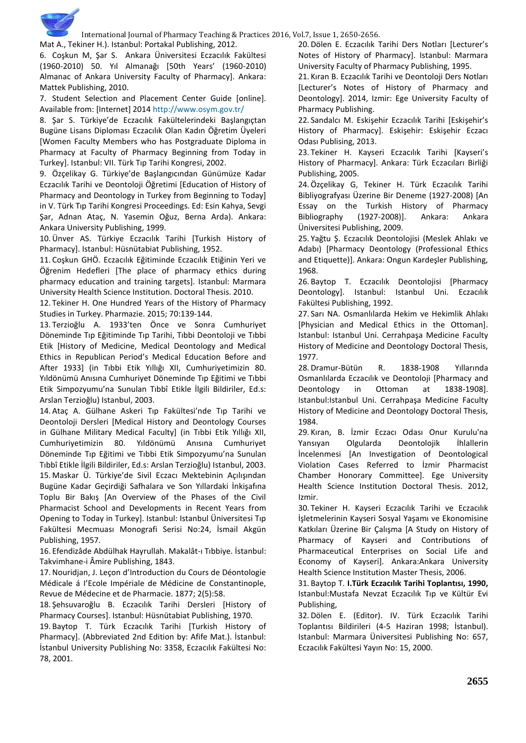

Mat A., Tekiner H.). Istanbul: Portakal Publishing, 2012. 6. Coşkun M, Şar S. Ankara Üniversitesi Eczacılık Fakültesi

(1960-2010) 50. Yıl Almanağı [50th Years' (1960-2010) Almanac of Ankara University Faculty of Pharmacy]. Ankara: Mattek Publishing, 2010.

7. Student Selection and Placement Center Guide [online]. Available from: [Internet] 2014<http://www.osym.gov.tr/>

8. Şar S. Türkiye'de Eczacılık Fakültelerindeki Başlangıçtan Bugüne Lisans Diploması Eczacılık Olan Kadın Öğretim Üyeleri [Women Faculty Members who has Postgraduate Diploma in Pharmacy at Faculty of Pharmacy Beginning from Today in Turkey]. Istanbul: VII. Türk Tıp Tarihi Kongresi, 2002.

9. Özçelikay G. Türkiye'de Başlangıcından Günümüze Kadar Eczacılık Tarihi ve Deontoloji Öğretimi [Education of History of Pharmacy and Deontology in Turkey from Beginning to Today] in V. Türk Tıp Tarihi Kongresi Proceedings. Ed: Esin Kahya, Sevgi Şar, Adnan Ataç, N. Yasemin Oğuz, Berna Arda). Ankara: Ankara University Publishing, 1999.

10.Ünver AS. Türkiye Eczacılık Tarihi [Turkish History of Pharmacy]. Istanbul: Hüsnütabiat Publishing, 1952.

11. Coşkun GHÖ. Eczacılık Eğitiminde Eczacılık Etiğinin Yeri ve Öğrenim Hedefleri [The place of pharmacy ethics during pharmacy education and training targets]. Istanbul: Marmara University Health Science Institution. Doctoral Thesis. 2010.

12. Tekiner H. One Hundred Years of the History of Pharmacy Studies in Turkey. Pharmazie. 2015; 70:139-144.

13. Terzioğlu A. 1933'ten Önce ve Sonra Cumhuriyet Döneminde Tıp Eğitiminde Tıp Tarihi, Tıbbi Deontoloji ve Tıbbi Etik [History of Medicine, Medical Deontology and Medical Ethics in Republican Period's Medical Education Before and After 1933] (in Tıbbi Etik Yıllığı XII, Cumhuriyetimizin 80. Yıldönümü Anısına Cumhuriyet Döneminde Tıp Eğitimi ve Tıbbi Etik Simpozyumu'na Sunulan Tıbbî Etikle İlgili Bildiriler, Ed.s: Arslan Terzioğlu) Istanbul, 2003.

14. Ataç A. Gülhane Askeri Tıp Fakültesi'nde Tıp Tarihi ve Deontoloji Dersleri [Medical History and Deontology Courses in Gülhane Military Medical Faculty] (in Tıbbi Etik Yıllığı XII, Cumhuriyetimizin 80. Yıldönümü Anısına Cumhuriyet Döneminde Tıp Eğitimi ve Tıbbi Etik Simpozyumu'na Sunulan Tıbbî Etikle İlgili Bildiriler, Ed.s: Arslan Terzioğlu) Istanbul, 2003. 15. Maskar Ü. Türkiye'de Sivil Eczacı Mektebinin Açılışından Bugüne Kadar Geçirdiği Safhalara ve Son Yıllardaki İnkişafına Toplu Bir Bakış [An Overview of the Phases of the Civil Pharmacist School and Developments in Recent Years from Opening to Today in Turkey]. Istanbul: Istanbul Üniversitesi Tıp Fakültesi Mecmuası Monografi Serisi No:24, İsmail Akgün Publishing, 1957.

16. Efendizâde Abdülhak Hayrullah. Makalât-ı Tıbbiye. İstanbul: Takvimhane-i Âmire Publishing, 1843.

17.Nouridjan, J. Leçon d'Introduction du Cours de Déontologie Médicale á I'Ecole Impériale de Médicine de Constantinople, Revue de Médecine et de Pharmacie. 1877; 2(5):58.

18. Şehsuvaroğlu B. Eczacılık Tarihi Dersleri [History of Pharmacy Courses]. Istanbul: Hüsnütabiat Publishing, 1970. 19. Baytop T. Türk Eczacılık Tarihi [Turkish History of Pharmacy]. (Abbreviated 2nd Edition by: Afife Mat.). İstanbul: İstanbul University Publishing No: 3358, Eczacılık Fakültesi No: 78, 2001.

20. Dölen E. Eczacılık Tarihi Ders Notları [Lecturer's Notes of History of Pharmacy]. Istanbul: Marmara University Faculty of Pharmacy Publishing, 1995.

21. Kıran B. Eczacılık Tarihi ve Deontoloji Ders Notları [Lecturer's Notes of History of Pharmacy and Deontology]. 2014, Izmir: Ege University Faculty of Pharmacy Publishing.

22. Sandalcı M. Eskişehir Eczacılık Tarihi [Eskişehir's History of Pharmacy]. Eskişehir: Eskişehir Eczacı Odası Publising, 2013.

23. Tekiner H. Kayseri Eczacılık Tarihi [Kayseri's History of Pharmacy]. Ankara: Türk Eczacıları Birliği Publishing, 2005.

24.Özçelikay G, Tekiner H. Türk Eczacılık Tarihi Bibliyografyası Üzerine Bir Deneme (1927-2008) [An Essay on the Turkish History of Pharmacy Bibliography (1927-2008)]. Ankara: Ankara Üniversitesi Publishing, 2009.

25. Yağtu Ş. Eczacılık Deontolojisi (Meslek Ahlakı ve Adabı) [Pharmacy Deontology (Professional Ethics and Etiquette)]. Ankara: Ongun Kardeşler Publishing, 1968.

26. Baytop T. Eczacılık Deontolojisi [Pharmacy Deontology]. Istanbul: Istanbul Uni. Eczacılık Fakültesi Publishing, 1992.

27. Sarı NA. Osmanlılarda Hekim ve Hekimlik Ahlakı [Physician and Medical Ethics in the Ottoman]. Istanbul: Istanbul Uni. Cerrahpaşa Medicine Faculty History of Medicine and Deontology Doctoral Thesis, 1977.

28. Dramur-Bütün R. 1838-1908 Yıllarında Osmanlılarda Eczacılık ve Deontoloji [Pharmacy and Deontology in Ottoman at 1838-1908]. Istanbul:Istanbul Uni. Cerrahpaşa Medicine Faculty History of Medicine and Deontology Doctoral Thesis, 1984.

29. Kıran, B. İzmir Eczacı Odası Onur Kurulu'na Yansıyan Olgularda Deontolojik İhlallerin İncelenmesi [An Investigation of Deontological Violation Cases Referred to İzmir Pharmacist Chamber Honorary Committee]. Ege University Health Science Institution Doctoral Thesis. 2012, Izmir.

30. Tekiner H. Kayseri Eczacılık Tarihi ve Eczacılık İşletmelerinin Kayseri Sosyal Yaşamı ve Ekonomisine Katkıları Üzerine Bir Çalışma [A Study on History of Pharmacy of Kayseri and Contributions of Pharmaceutical Enterprises on Social Life and Economy of Kayseri]. Ankara:Ankara University Health Science Institution Master Thesis, 2006.

31. Baytop T. **I.Türk Eczacılık Tarihi Toplantısı, 1990,** Istanbul:Mustafa Nevzat Eczacılık Tıp ve Kültür Evi Publishing,

32. Dölen E. (Editor). IV. Türk Eczacılık Tarihi Toplantısı Bildirileri (4-5 Haziran 1998; İstanbul). Istanbul: Marmara Üniversitesi Publishing No: 657, Eczacılık Fakültesi Yayın No: 15, 2000.